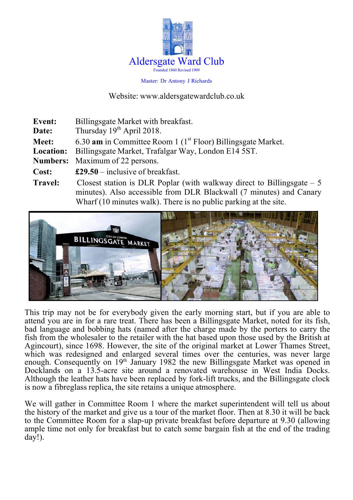

Master: Dr Antony J Richards

Website: www.aldersgatewardclub.co.uk

| <b>Event:</b>    | Billingsgate Market with breakfast.                                                                                                                                                                                 |
|------------------|---------------------------------------------------------------------------------------------------------------------------------------------------------------------------------------------------------------------|
| Date:            | Thursday $19th$ April 2018.                                                                                                                                                                                         |
| Meet:            | 6.30 am in Committee Room 1 $(1st Floor)$ Billingsgate Market.                                                                                                                                                      |
| <b>Location:</b> | Billingsgate Market, Trafalgar Way, London E14 5ST.                                                                                                                                                                 |
| <b>Numbers:</b>  | Maximum of 22 persons.                                                                                                                                                                                              |
| Cost:            | £29.50 – inclusive of breakfast.                                                                                                                                                                                    |
| <b>Travel:</b>   | Closest station is DLR Poplar (with walkway direct to Billings gate $-5$<br>minutes). Also accessible from DLR Blackwall (7 minutes) and Canary<br>Wharf (10 minutes walk). There is no public parking at the site. |



This trip may not be for everybody given the early morning start, but if you are able to attend you are in for a rare treat. There has been a Billingsgate Market, noted for its fish, bad language and bobbing hats (named after the charge made by the porters to carry the fish from the wholesaler to the retailer with the hat based upon those used by the British at Agincourt), since 1698. However, the site of the original market at Lower Thames Street, which was redesigned and enlarged several times over the centuries, was never large enough. Consequently on 19<sup>th</sup> January 1982 the new Billingsgate Market was opened in Docklands on a 13.5-acre site around a renovated warehouse in West India Docks. Although the leather hats have been replaced by fork-lift trucks, and the Billingsgate clock is now a fibreglass replica, the site retains a unique atmosphere.

We will gather in Committee Room 1 where the market superintendent will tell us about the history of the market and give us a tour of the market floor. Then at 8.30 it will be back to the Committee Room for a slap-up private breakfast before departure at 9.30 (allowing ample time not only for breakfast but to catch some bargain fish at the end of the trading day!).